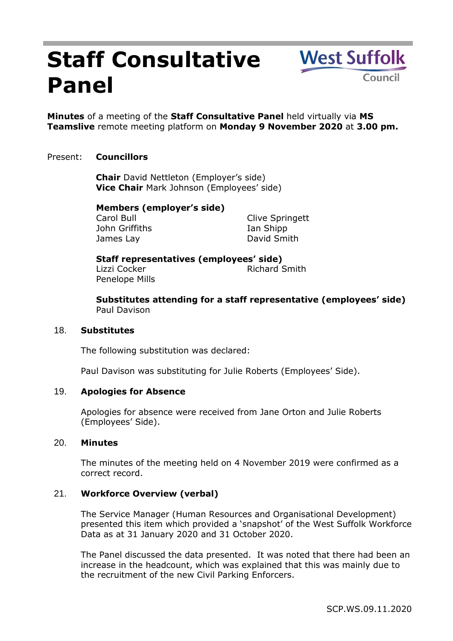# **Staff Consultative Panel**

**Minutes** of a meeting of the **Staff Consultative Panel** held virtually via **MS** 

**Teamslive** remote meeting platform on **Monday 9 November 2020** at **3.00 pm.**

## Present: **Councillors**

**Chair** David Nettleton (Employer's side) **Vice Chair** Mark Johnson (Employees' side)

## **Members (employer's side)**

Carol Bull John Griffiths James Lay

Clive Springett Ian Shipp David Smith

**West Suffolk** 

Council

#### **Staff representatives (employees' side)** Lizzi Cocker **Richard Smith** Penelope Mills

**Substitutes attending for a staff representative (employees' side)** Paul Davison

## 18. **Substitutes**

The following substitution was declared:

Paul Davison was substituting for Julie Roberts (Employees' Side).

## 19. **Apologies for Absence**

Apologies for absence were received from Jane Orton and Julie Roberts (Employees' Side).

## 20. **Minutes**

The minutes of the meeting held on 4 November 2019 were confirmed as a correct record.

# 21. **Workforce Overview (verbal)**

The Service Manager (Human Resources and Organisational Development) presented this item which provided a 'snapshot' of the West Suffolk Workforce Data as at 31 January 2020 and 31 October 2020.

The Panel discussed the data presented. It was noted that there had been an increase in the headcount, which was explained that this was mainly due to the recruitment of the new Civil Parking Enforcers.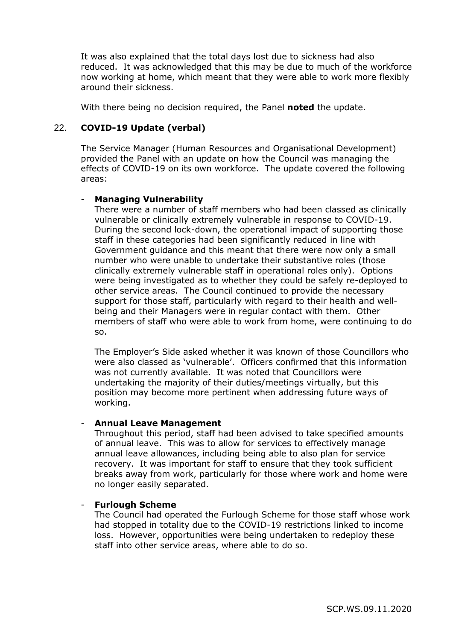It was also explained that the total days lost due to sickness had also reduced. It was acknowledged that this may be due to much of the workforce now working at home, which meant that they were able to work more flexibly around their sickness.

With there being no decision required, the Panel **noted** the update.

# 22. **COVID-19 Update (verbal)**

The Service Manager (Human Resources and Organisational Development) provided the Panel with an update on how the Council was managing the effects of COVID-19 on its own workforce. The update covered the following areas:

## - **Managing Vulnerability**

There were a number of staff members who had been classed as clinically vulnerable or clinically extremely vulnerable in response to COVID-19. During the second lock-down, the operational impact of supporting those staff in these categories had been significantly reduced in line with Government guidance and this meant that there were now only a small number who were unable to undertake their substantive roles (those clinically extremely vulnerable staff in operational roles only). Options were being investigated as to whether they could be safely re-deployed to other service areas. The Council continued to provide the necessary support for those staff, particularly with regard to their health and wellbeing and their Managers were in regular contact with them. Other members of staff who were able to work from home, were continuing to do so.

The Employer's Side asked whether it was known of those Councillors who were also classed as 'vulnerable'. Officers confirmed that this information was not currently available. It was noted that Councillors were undertaking the majority of their duties/meetings virtually, but this position may become more pertinent when addressing future ways of working.

# - **Annual Leave Management**

Throughout this period, staff had been advised to take specified amounts of annual leave. This was to allow for services to effectively manage annual leave allowances, including being able to also plan for service recovery. It was important for staff to ensure that they took sufficient breaks away from work, particularly for those where work and home were no longer easily separated.

## - **Furlough Scheme**

The Council had operated the Furlough Scheme for those staff whose work had stopped in totality due to the COVID-19 restrictions linked to income loss. However, opportunities were being undertaken to redeploy these staff into other service areas, where able to do so.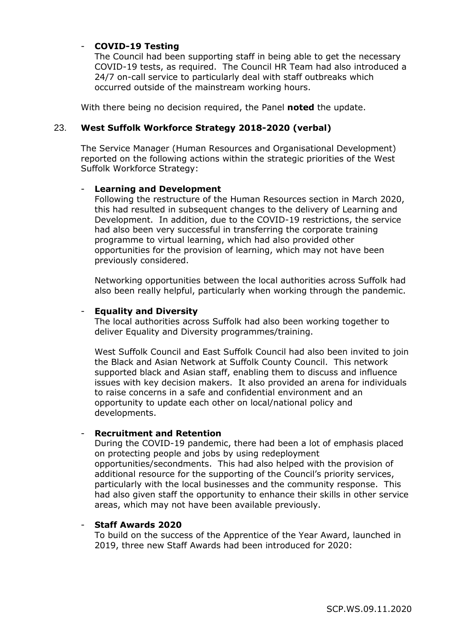## - **COVID-19 Testing**

The Council had been supporting staff in being able to get the necessary COVID-19 tests, as required. The Council HR Team had also introduced a 24/7 on-call service to particularly deal with staff outbreaks which occurred outside of the mainstream working hours.

With there being no decision required, the Panel **noted** the update.

# 23. **West Suffolk Workforce Strategy 2018-2020 (verbal)**

The Service Manager (Human Resources and Organisational Development) reported on the following actions within the strategic priorities of the West Suffolk Workforce Strategy:

## - **Learning and Development**

Following the restructure of the Human Resources section in March 2020, this had resulted in subsequent changes to the delivery of Learning and Development. In addition, due to the COVID-19 restrictions, the service had also been very successful in transferring the corporate training programme to virtual learning, which had also provided other opportunities for the provision of learning, which may not have been previously considered.

Networking opportunities between the local authorities across Suffolk had also been really helpful, particularly when working through the pandemic.

#### - **Equality and Diversity**

The local authorities across Suffolk had also been working together to deliver Equality and Diversity programmes/training.

West Suffolk Council and East Suffolk Council had also been invited to join the Black and Asian Network at Suffolk County Council. This network supported black and Asian staff, enabling them to discuss and influence issues with key decision makers. It also provided an arena for individuals to raise concerns in a safe and confidential environment and an opportunity to update each other on local/national policy and developments.

#### - **Recruitment and Retention**

During the COVID-19 pandemic, there had been a lot of emphasis placed on protecting people and jobs by using redeployment opportunities/secondments. This had also helped with the provision of additional resource for the supporting of the Council's priority services, particularly with the local businesses and the community response. This had also given staff the opportunity to enhance their skills in other service areas, which may not have been available previously.

#### - **Staff Awards 2020**

To build on the success of the Apprentice of the Year Award, launched in 2019, three new Staff Awards had been introduced for 2020: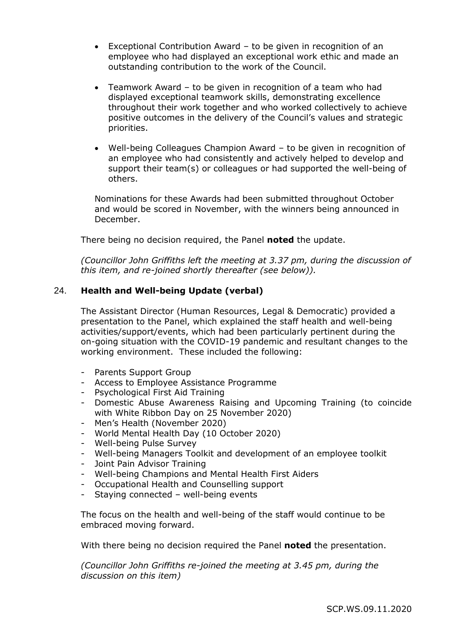- Exceptional Contribution Award to be given in recognition of an employee who had displayed an exceptional work ethic and made an outstanding contribution to the work of the Council.
- Teamwork Award to be given in recognition of a team who had displayed exceptional teamwork skills, demonstrating excellence throughout their work together and who worked collectively to achieve positive outcomes in the delivery of the Council's values and strategic priorities.
- Well-being Colleagues Champion Award to be given in recognition of an employee who had consistently and actively helped to develop and support their team(s) or colleagues or had supported the well-being of others.

Nominations for these Awards had been submitted throughout October and would be scored in November, with the winners being announced in December.

There being no decision required, the Panel **noted** the update.

*(Councillor John Griffiths left the meeting at 3.37 pm, during the discussion of this item, and re-joined shortly thereafter (see below)).*

# 24. **Health and Well-being Update (verbal)**

The Assistant Director (Human Resources, Legal & Democratic) provided a presentation to the Panel, which explained the staff health and well-being activities/support/events, which had been particularly pertinent during the on-going situation with the COVID-19 pandemic and resultant changes to the working environment. These included the following:

- Parents Support Group
- Access to Employee Assistance Programme
- Psychological First Aid Training
- Domestic Abuse Awareness Raising and Upcoming Training (to coincide with White Ribbon Day on 25 November 2020)
- Men's Health (November 2020)
- World Mental Health Day (10 October 2020)
- Well-being Pulse Survey
- Well-being Managers Toolkit and development of an employee toolkit
- Joint Pain Advisor Training
- Well-being Champions and Mental Health First Aiders
- Occupational Health and Counselling support
- Staying connected well-being events

The focus on the health and well-being of the staff would continue to be embraced moving forward.

With there being no decision required the Panel **noted** the presentation.

*(Councillor John Griffiths re-joined the meeting at 3.45 pm, during the discussion on this item)*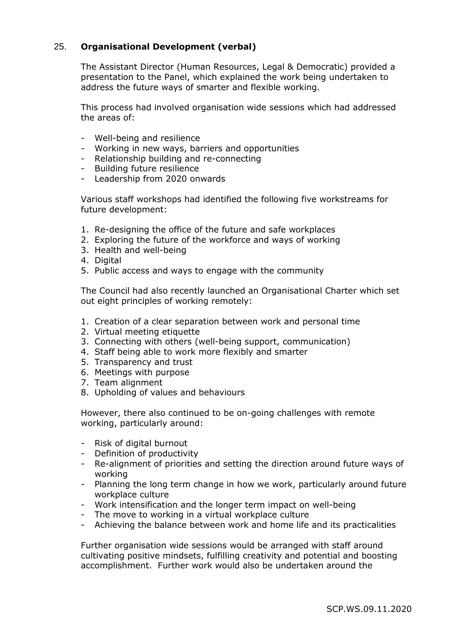# 25. **Organisational Development (verbal)**

The Assistant Director (Human Resources, Legal & Democratic) provided a presentation to the Panel, which explained the work being undertaken to address the future ways of smarter and flexible working.

This process had involved organisation wide sessions which had addressed the areas of:

- Well-being and resilience
- Working in new ways, barriers and opportunities
- Relationship building and re-connecting
- Building future resilience
- Leadership from 2020 onwards

Various staff workshops had identified the following five workstreams for future development:

- 1. Re-designing the office of the future and safe workplaces
- 2. Exploring the future of the workforce and ways of working
- 3. Health and well-being
- 4. Digital
- 5. Public access and ways to engage with the community

The Council had also recently launched an Organisational Charter which set out eight principles of working remotely:

- 1. Creation of a clear separation between work and personal time
- 2. Virtual meeting etiquette
- 3. Connecting with others (well-being support, communication)
- 4. Staff being able to work more flexibly and smarter
- 5. Transparency and trust
- 6. Meetings with purpose
- 7. Team alignment
- 8. Upholding of values and behaviours

However, there also continued to be on-going challenges with remote working, particularly around:

- Risk of digital burnout
- Definition of productivity
- Re-alignment of priorities and setting the direction around future ways of working
- Planning the long term change in how we work, particularly around future workplace culture
- Work intensification and the longer term impact on well-being
- The move to working in a virtual workplace culture
- Achieving the balance between work and home life and its practicalities

Further organisation wide sessions would be arranged with staff around cultivating positive mindsets, fulfilling creativity and potential and boosting accomplishment. Further work would also be undertaken around the